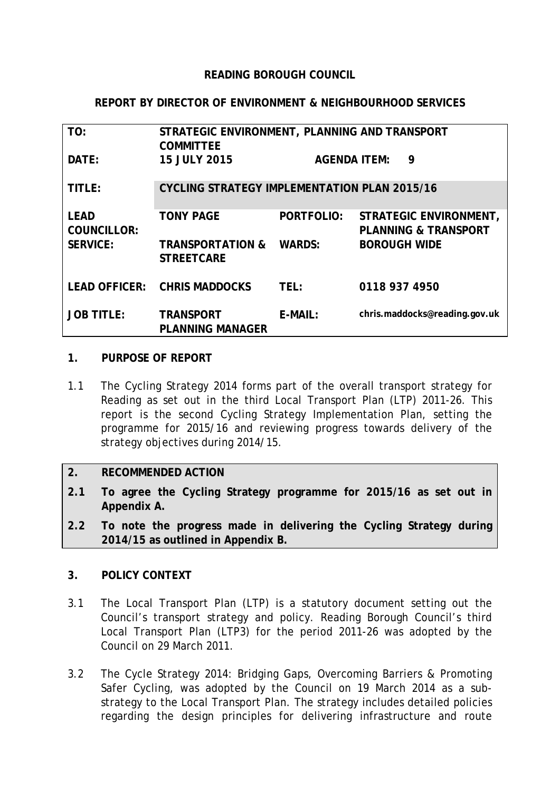#### **READING BOROUGH COUNCIL**

#### **REPORT BY DIRECTOR OF ENVIRONMENT & NEIGHBOURHOOD SERVICES**

| TO:                               | STRATEGIC ENVIRONMENT, PLANNING AND TRANSPORT<br><b>COMMITTEE</b> |                     |                                                                                  |  |  |  |  |
|-----------------------------------|-------------------------------------------------------------------|---------------------|----------------------------------------------------------------------------------|--|--|--|--|
| DATE:                             | <b>15 JULY 2015</b>                                               | <b>AGENDA ITEM:</b> | 9                                                                                |  |  |  |  |
| TITLE:                            | <b>CYCLING STRATEGY IMPLEMENTATION PLAN 2015/16</b>               |                     |                                                                                  |  |  |  |  |
| <b>LEAD</b><br><b>COUNCILLOR:</b> | <b>TONY PAGE</b>                                                  | <b>PORTFOLIO:</b>   | STRATEGIC ENVIRONMENT,<br><b>PLANNING &amp; TRANSPORT</b><br><b>BOROUGH WIDE</b> |  |  |  |  |
| <b>SERVICE:</b>                   | <b>TRANSPORTATION &amp;</b><br><b>STREETCARE</b>                  | <b>WARDS:</b>       |                                                                                  |  |  |  |  |
|                                   | LEAD OFFICER: CHRIS MADDOCKS                                      | TEL:                | 0118 937 4950                                                                    |  |  |  |  |
| <b>JOB TITLE:</b>                 | <b>TRANSPORT</b><br><b>PLANNING MANAGER</b>                       | E-MAIL:             | chris.maddocks@reading.gov.uk                                                    |  |  |  |  |

#### **1. PURPOSE OF REPORT**

1.1 The Cycling Strategy 2014 forms part of the overall transport strategy for Reading as set out in the third Local Transport Plan (LTP) 2011-26. This report is the second Cycling Strategy Implementation Plan, setting the programme for 2015/16 and reviewing progress towards delivery of the strategy objectives during 2014/15.

#### **2. RECOMMENDED ACTION**

- **2.1 To agree the Cycling Strategy programme for 2015/16 as set out in Appendix A.**
- **2.2 To note the progress made in delivering the Cycling Strategy during 2014/15 as outlined in Appendix B.**

#### **3. POLICY CONTEXT**

- 3.1 The Local Transport Plan (LTP) is a statutory document setting out the Council's transport strategy and policy. Reading Borough Council's third Local Transport Plan (LTP3) for the period 2011-26 was adopted by the Council on 29 March 2011.
- 3.2 The Cycle Strategy 2014: Bridging Gaps, Overcoming Barriers & Promoting Safer Cycling, was adopted by the Council on 19 March 2014 as a substrategy to the Local Transport Plan. The strategy includes detailed policies regarding the design principles for delivering infrastructure and route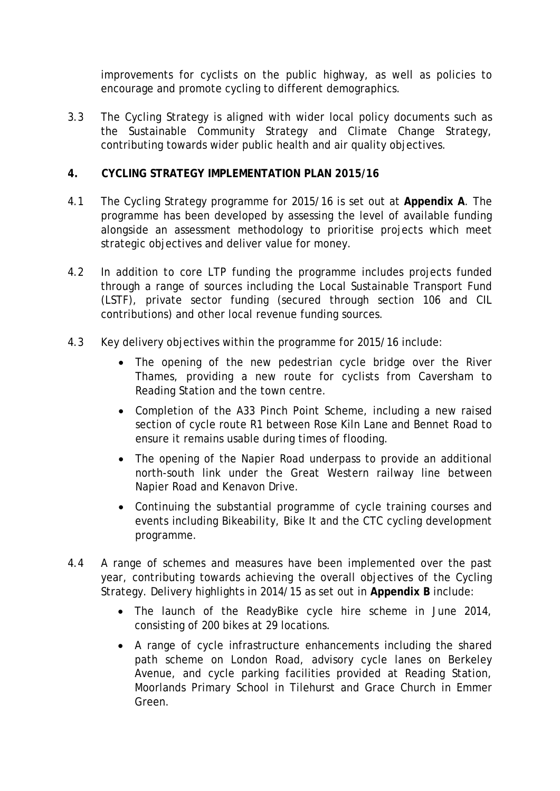improvements for cyclists on the public highway, as well as policies to encourage and promote cycling to different demographics.

3.3 The Cycling Strategy is aligned with wider local policy documents such as the Sustainable Community Strategy and Climate Change Strategy, contributing towards wider public health and air quality objectives.

#### **4. CYCLING STRATEGY IMPLEMENTATION PLAN 2015/16**

- 4.1 The Cycling Strategy programme for 2015/16 is set out at **Appendix A**. The programme has been developed by assessing the level of available funding alongside an assessment methodology to prioritise projects which meet strategic objectives and deliver value for money.
- 4.2 In addition to core LTP funding the programme includes projects funded through a range of sources including the Local Sustainable Transport Fund (LSTF), private sector funding (secured through section 106 and CIL contributions) and other local revenue funding sources.
- 4.3 Key delivery objectives within the programme for 2015/16 include:
	- The opening of the new pedestrian cycle bridge over the River Thames, providing a new route for cyclists from Caversham to Reading Station and the town centre.
	- Completion of the A33 Pinch Point Scheme, including a new raised section of cycle route R1 between Rose Kiln Lane and Bennet Road to ensure it remains usable during times of flooding.
	- The opening of the Napier Road underpass to provide an additional north-south link under the Great Western railway line between Napier Road and Kenavon Drive.
	- Continuing the substantial programme of cycle training courses and events including Bikeability, Bike It and the CTC cycling development programme.
- 4.4 A range of schemes and measures have been implemented over the past year, contributing towards achieving the overall objectives of the Cycling Strategy. Delivery highlights in 2014/15 as set out in **Appendix B** include:
	- The launch of the ReadyBike cycle hire scheme in June 2014, consisting of 200 bikes at 29 locations.
	- A range of cycle infrastructure enhancements including the shared path scheme on London Road, advisory cycle lanes on Berkeley Avenue, and cycle parking facilities provided at Reading Station, Moorlands Primary School in Tilehurst and Grace Church in Emmer Green.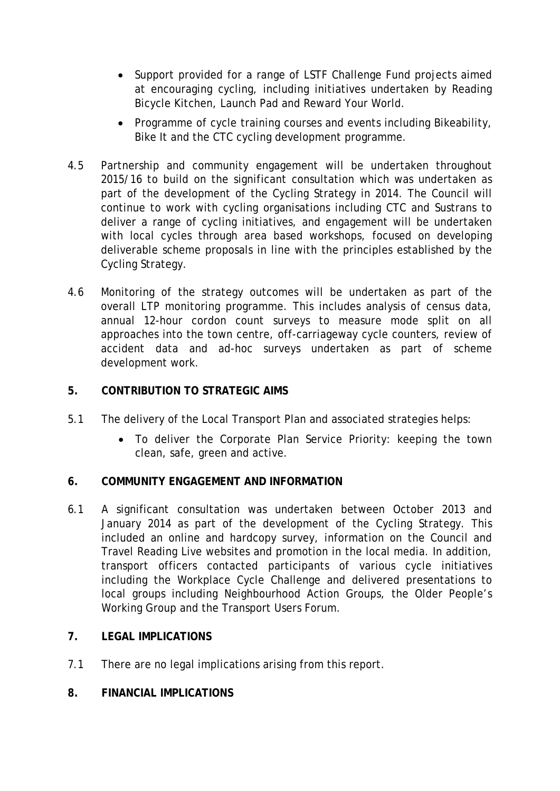- Support provided for a range of LSTF Challenge Fund projects aimed at encouraging cycling, including initiatives undertaken by Reading Bicycle Kitchen, Launch Pad and Reward Your World.
- Programme of cycle training courses and events including Bikeability, Bike It and the CTC cycling development programme.
- 4.5 Partnership and community engagement will be undertaken throughout 2015/16 to build on the significant consultation which was undertaken as part of the development of the Cycling Strategy in 2014. The Council will continue to work with cycling organisations including CTC and Sustrans to deliver a range of cycling initiatives, and engagement will be undertaken with local cycles through area based workshops, focused on developing deliverable scheme proposals in line with the principles established by the Cycling Strategy.
- 4.6 Monitoring of the strategy outcomes will be undertaken as part of the overall LTP monitoring programme. This includes analysis of census data, annual 12-hour cordon count surveys to measure mode split on all approaches into the town centre, off-carriageway cycle counters, review of accident data and ad-hoc surveys undertaken as part of scheme development work.

### **5. CONTRIBUTION TO STRATEGIC AIMS**

- 5.1 The delivery of the Local Transport Plan and associated strategies helps:
	- To deliver the Corporate Plan Service Priority: keeping the town clean, safe, green and active.

#### **6. COMMUNITY ENGAGEMENT AND INFORMATION**

6.1 A significant consultation was undertaken between October 2013 and January 2014 as part of the development of the Cycling Strategy. This included an online and hardcopy survey, information on the Council and Travel Reading Live websites and promotion in the local media. In addition, transport officers contacted participants of various cycle initiatives including the Workplace Cycle Challenge and delivered presentations to local groups including Neighbourhood Action Groups, the Older People's Working Group and the Transport Users Forum.

## **7. LEGAL IMPLICATIONS**

7.1 There are no legal implications arising from this report.

#### **8. FINANCIAL IMPLICATIONS**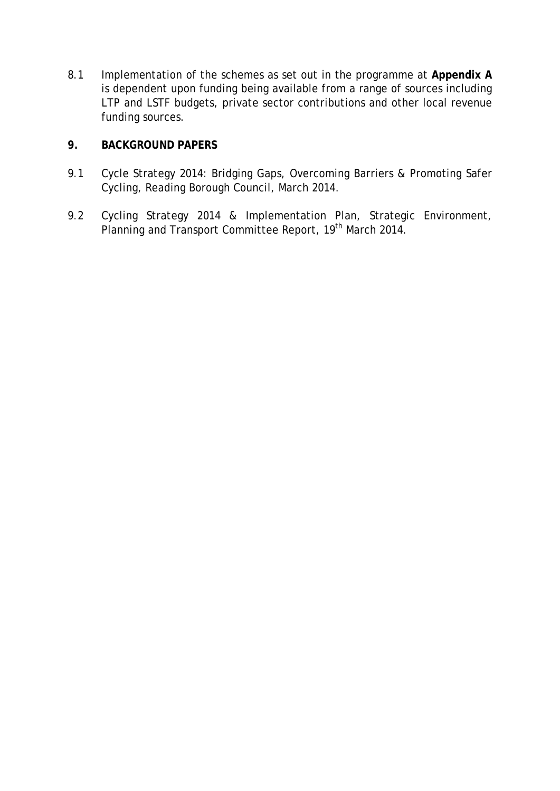8.1 Implementation of the schemes as set out in the programme at **Appendix A** is dependent upon funding being available from a range of sources including LTP and LSTF budgets, private sector contributions and other local revenue funding sources.

#### **9. BACKGROUND PAPERS**

- 9.1 Cycle Strategy 2014: Bridging Gaps, Overcoming Barriers & Promoting Safer Cycling, Reading Borough Council, March 2014.
- 9.2 Cycling Strategy 2014 & Implementation Plan, Strategic Environment, Planning and Transport Committee Report, 19<sup>th</sup> March 2014.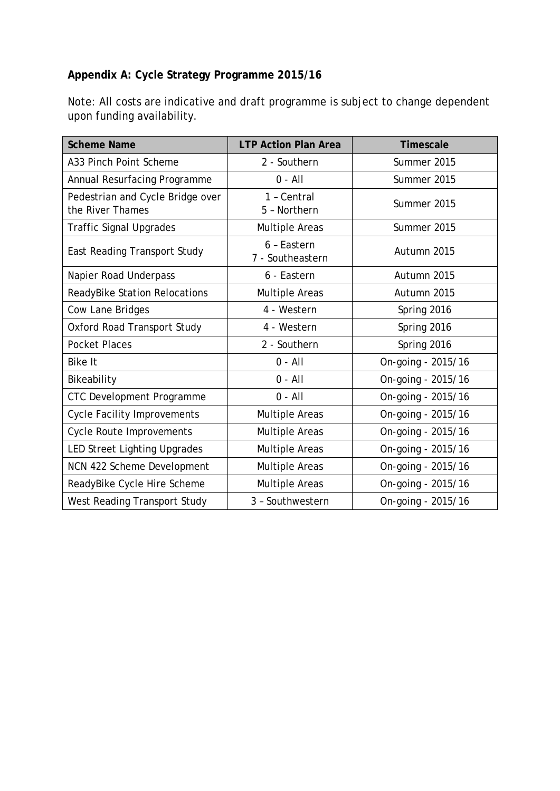## **Appendix A: Cycle Strategy Programme 2015/16**

Note: All costs are indicative and draft programme is subject to change dependent upon funding availability.

| <b>Scheme Name</b>                                   | <b>LTP Action Plan Area</b>     | Timescale          |  |
|------------------------------------------------------|---------------------------------|--------------------|--|
| A33 Pinch Point Scheme                               | 2 - Southern                    | Summer 2015        |  |
| Annual Resurfacing Programme                         | $0 - All$                       | Summer 2015        |  |
| Pedestrian and Cycle Bridge over<br>the River Thames | 1 - Central<br>5 - Northern     | Summer 2015        |  |
| <b>Traffic Signal Upgrades</b>                       | Multiple Areas                  | Summer 2015        |  |
| <b>East Reading Transport Study</b>                  | 6 - Eastern<br>7 - Southeastern | Autumn 2015        |  |
| Napier Road Underpass                                | 6 - Eastern                     | Autumn 2015        |  |
| ReadyBike Station Relocations                        | Multiple Areas                  | Autumn 2015        |  |
| Cow Lane Bridges                                     | 4 - Western                     | Spring 2016        |  |
| <b>Oxford Road Transport Study</b>                   | 4 - Western                     | Spring 2016        |  |
| <b>Pocket Places</b>                                 | 2 - Southern                    | Spring 2016        |  |
| <b>Bike It</b>                                       | $0 - All$                       | On-going - 2015/16 |  |
| Bikeability                                          | $0 - All$                       | On-going - 2015/16 |  |
| CTC Development Programme                            | $0 - All$                       | On-going - 2015/16 |  |
| <b>Cycle Facility Improvements</b>                   | Multiple Areas                  | On-going - 2015/16 |  |
| <b>Cycle Route Improvements</b>                      | <b>Multiple Areas</b>           | On-going - 2015/16 |  |
| <b>LED Street Lighting Upgrades</b>                  | <b>Multiple Areas</b>           | On-going - 2015/16 |  |
| NCN 422 Scheme Development                           | <b>Multiple Areas</b>           | On-going - 2015/16 |  |
| ReadyBike Cycle Hire Scheme                          | <b>Multiple Areas</b>           | On-going - 2015/16 |  |
| West Reading Transport Study                         | 3 - Southwestern                | On-going - 2015/16 |  |